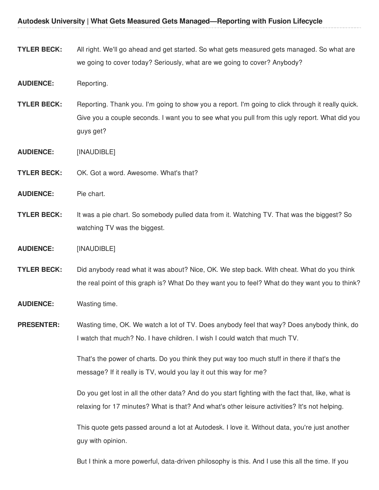- **TYLER BECK:** All right. We'll go ahead and get started. So what gets measured gets managed. So what are we going to cover today? Seriously, what are we going to cover? Anybody?
- **AUDIENCE:** Reporting.
- **TYLER BECK:** Reporting. Thank you. I'm going to show you a report. I'm going to click through it really quick. Give you a couple seconds. I want you to see what you pull from this ugly report. What did you guys get?
- **AUDIENCE:** [INAUDIBLE]
- **TYLER BECK:** OK. Got a word. Awesome. What's that?
- **AUDIENCE:** Pie chart.
- **TYLER BECK:** It was a pie chart. So somebody pulled data from it. Watching TV. That was the biggest? So watching TV was the biggest.
- **AUDIENCE:** [INAUDIBLE]
- **TYLER BECK:** Did anybody read what it was about? Nice, OK. We step back. With cheat. What do you think the real point of this graph is? What Do they want you to feel? What do they want you to think?
- **AUDIENCE:** Wasting time.
- **PRESENTER:** Wasting time, OK. We watch a lot of TV. Does anybody feel that way? Does anybody think, do I watch that much? No. I have children. I wish I could watch that much TV.

That's the power of charts. Do you think they put way too much stuff in there if that's the message? If it really is TV, would you lay it out this way for me?

Do you get lost in all the other data? And do you start fighting with the fact that, like, what is relaxing for 17 minutes? What is that? And what's other leisure activities? It's not helping.

This quote gets passed around a lot at Autodesk. I love it. Without data, you're just another guy with opinion.

But I think a more powerful, data-driven philosophy is this. And I use this all the time. If you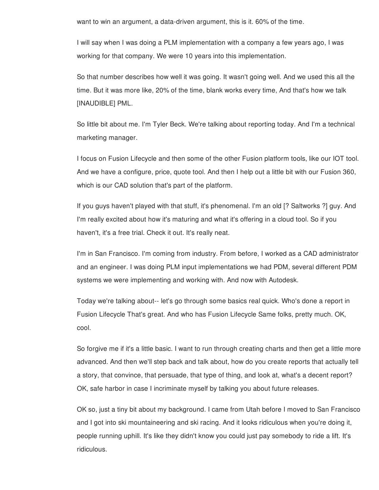want to win an argument, a data-driven argument, this is it. 60% of the time.

I will say when I was doing a PLM implementation with a company a few years ago, I was working for that company. We were 10 years into this implementation.

So that number describes how well it was going. It wasn't going well. And we used this all the time. But it was more like, 20% of the time, blank works every time, And that's how we talk [INAUDIBLE] PML.

So little bit about me. I'm Tyler Beck. We're talking about reporting today. And I'm a technical marketing manager.

I focus on Fusion Lifecycle and then some of the other Fusion platform tools, like our IOT tool. And we have a configure, price, quote tool. And then I help out a little bit with our Fusion 360, which is our CAD solution that's part of the platform.

If you guys haven't played with that stuff, it's phenomenal. I'm an old [? Saltworks ?] guy. And I'm really excited about how it's maturing and what it's offering in a cloud tool. So if you haven't, it's a free trial. Check it out. It's really neat.

I'm in San Francisco. I'm coming from industry. From before, I worked as a CAD administrator and an engineer. I was doing PLM input implementations we had PDM, several different PDM systems we were implementing and working with. And now with Autodesk.

Today we're talking about-- let's go through some basics real quick. Who's done a report in Fusion Lifecycle That's great. And who has Fusion Lifecycle Same folks, pretty much. OK, cool.

So forgive me if it's a little basic. I want to run through creating charts and then get a little more advanced. And then we'll step back and talk about, how do you create reports that actually tell a story, that convince, that persuade, that type of thing, and look at, what's a decent report? OK, safe harbor in case I incriminate myself by talking you about future releases.

OK so, just a tiny bit about my background. I came from Utah before I moved to San Francisco and I got into ski mountaineering and ski racing. And it looks ridiculous when you're doing it, people running uphill. It's like they didn't know you could just pay somebody to ride a lift. It's ridiculous.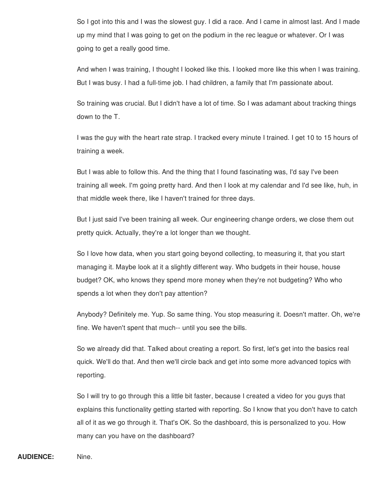So I got into this and I was the slowest guy. I did a race. And I came in almost last. And I made up my mind that I was going to get on the podium in the rec league or whatever. Or I was going to get a really good time.

And when I was training, I thought I looked like this. I looked more like this when I was training. But I was busy. I had a full-time job. I had children, a family that I'm passionate about.

So training was crucial. But I didn't have a lot of time. So I was adamant about tracking things down to the T.

I was the guy with the heart rate strap. I tracked every minute I trained. I get 10 to 15 hours of training a week.

But I was able to follow this. And the thing that I found fascinating was, I'd say I've been training all week. I'm going pretty hard. And then I look at my calendar and I'd see like, huh, in that middle week there, like I haven't trained for three days.

But I just said I've been training all week. Our engineering change orders, we close them out pretty quick. Actually, they're a lot longer than we thought.

So I love how data, when you start going beyond collecting, to measuring it, that you start managing it. Maybe look at it a slightly different way. Who budgets in their house, house budget? OK, who knows they spend more money when they're not budgeting? Who who spends a lot when they don't pay attention?

Anybody? Definitely me. Yup. So same thing. You stop measuring it. Doesn't matter. Oh, we're fine. We haven't spent that much-- until you see the bills.

So we already did that. Talked about creating a report. So first, let's get into the basics real quick. We'll do that. And then we'll circle back and get into some more advanced topics with reporting.

So I will try to go through this a little bit faster, because I created a video for you guys that explains this functionality getting started with reporting. So I know that you don't have to catch all of it as we go through it. That's OK. So the dashboard, this is personalized to you. How many can you have on the dashboard?

**AUDIENCE:** Nine.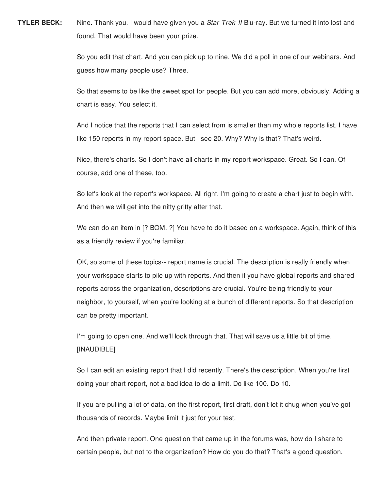**TYLER BECK:** Nine. Thank you. I would have given you a *Star Trek II* Blu-ray. But we turned it into lost and found. That would have been your prize.

> So you edit that chart. And you can pick up to nine. We did a poll in one of our webinars. And guess how many people use? Three.

So that seems to be like the sweet spot for people. But you can add more, obviously. Adding a chart is easy. You select it.

And I notice that the reports that I can select from is smaller than my whole reports list. I have like 150 reports in my report space. But I see 20. Why? Why is that? That's weird.

Nice, there's charts. So I don't have all charts in my report workspace. Great. So I can. Of course, add one of these, too.

So let's look at the report's workspace. All right. I'm going to create a chart just to begin with. And then we will get into the nitty gritty after that.

We can do an item in [? BOM. ?] You have to do it based on a workspace. Again, think of this as a friendly review if you're familiar.

OK, so some of these topics-- report name is crucial. The description is really friendly when your workspace starts to pile up with reports. And then if you have global reports and shared reports across the organization, descriptions are crucial. You're being friendly to your neighbor, to yourself, when you're looking at a bunch of different reports. So that description can be pretty important.

I'm going to open one. And we'll look through that. That will save us a little bit of time. [INAUDIBLE]

So I can edit an existing report that I did recently. There's the description. When you're first doing your chart report, not a bad idea to do a limit. Do like 100. Do 10.

If you are pulling a lot of data, on the first report, first draft, don't let it chug when you've got thousands of records. Maybe limit it just for your test.

And then private report. One question that came up in the forums was, how do I share to certain people, but not to the organization? How do you do that? That's a good question.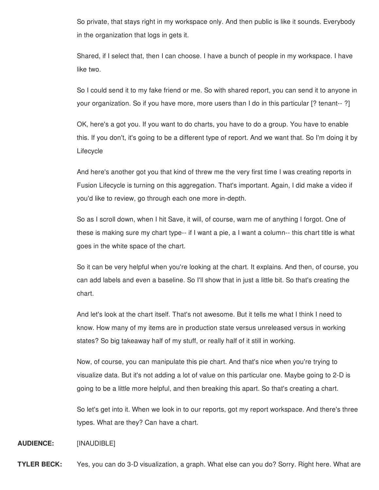So private, that stays right in my workspace only. And then public is like it sounds. Everybody in the organization that logs in gets it.

Shared, if I select that, then I can choose. I have a bunch of people in my workspace. I have like two.

So I could send it to my fake friend or me. So with shared report, you can send it to anyone in your organization. So if you have more, more users than I do in this particular [? tenant-- ?]

OK, here's a got you. If you want to do charts, you have to do a group. You have to enable this. If you don't, it's going to be a different type of report. And we want that. So I'm doing it by **Lifecycle** 

And here's another got you that kind of threw me the very first time I was creating reports in Fusion Lifecycle is turning on this aggregation. That's important. Again, I did make a video if you'd like to review, go through each one more in-depth.

So as I scroll down, when I hit Save, it will, of course, warn me of anything I forgot. One of these is making sure my chart type-- if I want a pie, a I want a column-- this chart title is what goes in the white space of the chart.

So it can be very helpful when you're looking at the chart. It explains. And then, of course, you can add labels and even a baseline. So I'll show that in just a little bit. So that's creating the chart.

And let's look at the chart itself. That's not awesome. But it tells me what I think I need to know. How many of my items are in production state versus unreleased versus in working states? So big takeaway half of my stuff, or really half of it still in working.

Now, of course, you can manipulate this pie chart. And that's nice when you're trying to visualize data. But it's not adding a lot of value on this particular one. Maybe going to 2-D is going to be a little more helpful, and then breaking this apart. So that's creating a chart.

So let's get into it. When we look in to our reports, got my report workspace. And there's three types. What are they? Can have a chart.

## **AUDIENCE:** [INAUDIBLE]

**TYLER BECK:** Yes, you can do 3-D visualization, a graph. What else can you do? Sorry. Right here. What are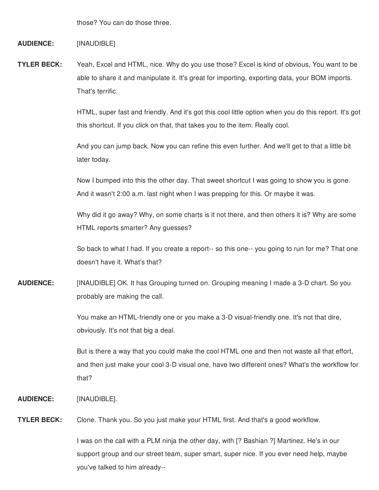those? You can do those three.

## **AUDIENCE:** [INAUDIBLE]

**TYLER BECK:** Yeah, Excel and HTML, nice. Why do you use those? Excel is kind of obvious, You want to be able to share it and manipulate it. It's great for importing, exporting data, your BOM imports. That's terrific.

> HTML, super fast and friendly. And it's got this cool little option when you do this report. It's got this shortcut. If you click on that, that takes you to the item. Really cool.

And you can jump back. Now you can refine this even further. And we'll get to that a little bit later today.

Now I bumped into this the other day. That sweet shortcut I was going to show you is gone. And it wasn't 2:00 a.m. last night when I was prepping for this. Or maybe it was.

Why did it go away? Why, on some charts is it not there, and then others it is? Why are some HTML reports smarter? Any guesses?

So back to what I had. If you create a report-- so this one-- you going to run for me? That one doesn't have it. What's that?

**AUDIENCE:** [INAUDIBLE] OK. It has Grouping turned on. Grouping meaning I made a 3-D chart. So you probably are making the call.

> You make an HTML-friendly one or you make a 3-D visual-friendly one. It's not that dire, obviously. It's not that big a deal.

But is there a way that you could make the cool HTML one and then not waste all that effort, and then just make your cool 3-D visual one, have two different ones? What's the workflow for that?

**AUDIENCE:** [INAUDIBLE].

**TYLER BECK:** Clone. Thank you. So you just make your HTML first. And that's a good workflow.

I was on the call with a PLM ninja the other day, with [? Bashian ?] Martinez. He's in our support group and our street team, super smart, super nice. If you ever need help, maybe you've talked to him already--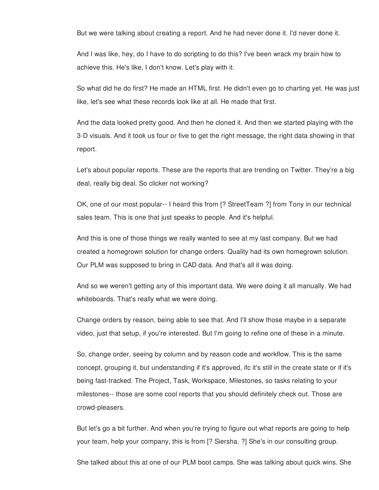But we were talking about creating a report. And he had never done it. I'd never done it.

And I was like, hey, do I have to do scripting to do this? I've been wrack my brain how to achieve this. He's like, I don't know. Let's play with it.

So what did he do first? He made an HTML first. He didn't even go to charting yet. He was just like, let's see what these records look like at all. He made that first.

And the data looked pretty good. And then he cloned it. And then we started playing with the 3-D visuals. And it took us four or five to get the right message, the right data showing in that report.

Let's about popular reports. These are the reports that are trending on Twitter. They're a big deal, really big deal. So clicker not working?

OK, one of our most popular-- I heard this from [? StreetTeam ?] from Tony in our technical sales team. This is one that just speaks to people. And it's helpful.

And this is one of those things we really wanted to see at my last company. But we had created a homegrown solution for change orders. Quality had its own homegrown solution. Our PLM was supposed to bring in CAD data. And that's all it was doing.

And so we weren't getting any of this important data. We were doing it all manually. We had whiteboards. That's really what we were doing.

Change orders by reason, being able to see that. And I'll show those maybe in a separate video, just that setup, if you're interested. But I'm going to refine one of these in a minute.

So, change order, seeing by column and by reason code and workflow. This is the same concept, grouping it, but understanding if it's approved, ifc it's still in the create state or if it's being fast-tracked. The Project, Task, Workspace, Milestones, so tasks relating to your milestones-- those are some cool reports that you should definitely check out. Those are crowd-pleasers.

But let's go a bit further. And when you're trying to figure out what reports are going to help your team, help your company, this is from [? Siersha. ?] She's in our consulting group.

She talked about this at one of our PLM boot camps. She was talking about quick wins. She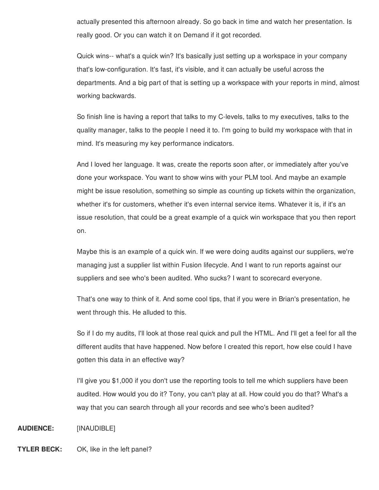actually presented this afternoon already. So go back in time and watch her presentation. Is really good. Or you can watch it on Demand if it got recorded.

Quick wins-- what's a quick win? It's basically just setting up a workspace in your company that's low-configuration. It's fast, it's visible, and it can actually be useful across the departments. And a big part of that is setting up a workspace with your reports in mind, almost working backwards.

So finish line is having a report that talks to my C-levels, talks to my executives, talks to the quality manager, talks to the people I need it to. I'm going to build my workspace with that in mind. It's measuring my key performance indicators.

And I loved her language. It was, create the reports soon after, or immediately after you've done your workspace. You want to show wins with your PLM tool. And maybe an example might be issue resolution, something so simple as counting up tickets within the organization, whether it's for customers, whether it's even internal service items. Whatever it is, if it's an issue resolution, that could be a great example of a quick win workspace that you then report on.

Maybe this is an example of a quick win. If we were doing audits against our suppliers, we're managing just a supplier list within Fusion lifecycle. And I want to run reports against our suppliers and see who's been audited. Who sucks? I want to scorecard everyone.

That's one way to think of it. And some cool tips, that if you were in Brian's presentation, he went through this. He alluded to this.

So if I do my audits, I'll look at those real quick and pull the HTML. And I'll get a feel for all the different audits that have happened. Now before I created this report, how else could I have gotten this data in an effective way?

I'll give you \$1,000 if you don't use the reporting tools to tell me which suppliers have been audited. How would you do it? Tony, you can't play at all. How could you do that? What's a way that you can search through all your records and see who's been audited?

## **AUDIENCE:** [INAUDIBLE]

## **TYLER BECK:** OK, like in the left panel?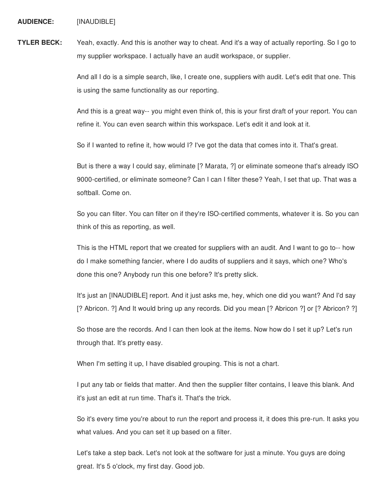**AUDIENCE:** [INAUDIBLE]

**TYLER BECK:** Yeah, exactly. And this is another way to cheat. And it's a way of actually reporting. So I go to my supplier workspace. I actually have an audit workspace, or supplier.

> And all I do is a simple search, like, I create one, suppliers with audit. Let's edit that one. This is using the same functionality as our reporting.

> And this is a great way-- you might even think of, this is your first draft of your report. You can refine it. You can even search within this workspace. Let's edit it and look at it.

So if I wanted to refine it, how would I? I've got the data that comes into it. That's great.

But is there a way I could say, eliminate [? Marata, ?] or eliminate someone that's already ISO 9000-certified, or eliminate someone? Can I can I filter these? Yeah, I set that up. That was a softball. Come on.

So you can filter. You can filter on if they're ISO-certified comments, whatever it is. So you can think of this as reporting, as well.

This is the HTML report that we created for suppliers with an audit. And I want to go to-- how do I make something fancier, where I do audits of suppliers and it says, which one? Who's done this one? Anybody run this one before? It's pretty slick.

It's just an [INAUDIBLE] report. And it just asks me, hey, which one did you want? And I'd say [? Abricon. ?] And It would bring up any records. Did you mean [? Abricon ?] or [? Abricon? ?]

So those are the records. And I can then look at the items. Now how do I set it up? Let's run through that. It's pretty easy.

When I'm setting it up, I have disabled grouping. This is not a chart.

I put any tab or fields that matter. And then the supplier filter contains, I leave this blank. And it's just an edit at run time. That's it. That's the trick.

So it's every time you're about to run the report and process it, it does this pre-run. It asks you what values. And you can set it up based on a filter.

Let's take a step back. Let's not look at the software for just a minute. You guys are doing great. It's 5 o'clock, my first day. Good job.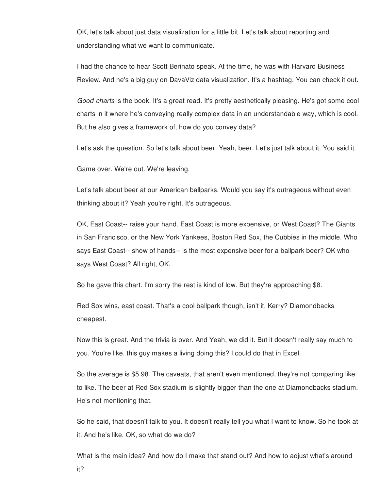OK, let's talk about just data visualization for a little bit. Let's talk about reporting and understanding what we want to communicate.

I had the chance to hear Scott Berinato speak. At the time, he was with Harvard Business Review. And he's a big guy on DavaViz data visualization. It's a hashtag. You can check it out.

*Good charts* is the book. It's a great read. It's pretty aesthetically pleasing. He's got some cool charts in it where he's conveying really complex data in an understandable way, which is cool. But he also gives a framework of, how do you convey data?

Let's ask the question. So let's talk about beer. Yeah, beer. Let's just talk about it. You said it.

Game over. We're out. We're leaving.

Let's talk about beer at our American ballparks. Would you say it's outrageous without even thinking about it? Yeah you're right. It's outrageous.

OK, East Coast-- raise your hand. East Coast is more expensive, or West Coast? The Giants in San Francisco, or the New York Yankees, Boston Red Sox, the Cubbies in the middle. Who says East Coast-- show of hands-- is the most expensive beer for a ballpark beer? OK who says West Coast? All right, OK.

So he gave this chart. I'm sorry the rest is kind of low. But they're approaching \$8.

Red Sox wins, east coast. That's a cool ballpark though, isn't it, Kerry? Diamondbacks cheapest.

Now this is great. And the trivia is over. And Yeah, we did it. But it doesn't really say much to you. You're like, this guy makes a living doing this? I could do that in Excel.

So the average is \$5.98. The caveats, that aren't even mentioned, they're not comparing like to like. The beer at Red Sox stadium is slightly bigger than the one at Diamondbacks stadium. He's not mentioning that.

So he said, that doesn't talk to you. It doesn't really tell you what I want to know. So he took at it. And he's like, OK, so what do we do?

What is the main idea? And how do I make that stand out? And how to adjust what's around it?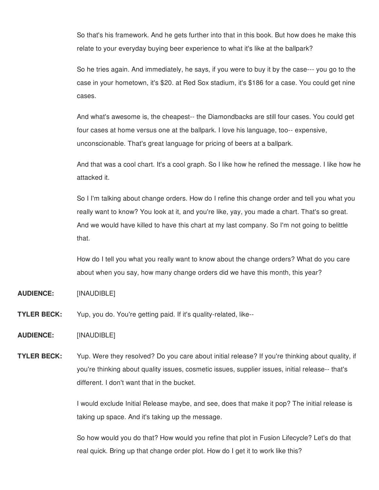So that's his framework. And he gets further into that in this book. But how does he make this relate to your everyday buying beer experience to what it's like at the ballpark?

So he tries again. And immediately, he says, if you were to buy it by the case--- you go to the case in your hometown, it's \$20. at Red Sox stadium, it's \$186 for a case. You could get nine cases.

And what's awesome is, the cheapest-- the Diamondbacks are still four cases. You could get four cases at home versus one at the ballpark. I love his language, too-- expensive, unconscionable. That's great language for pricing of beers at a ballpark.

And that was a cool chart. It's a cool graph. So I like how he refined the message. I like how he attacked it.

So I I'm talking about change orders. How do I refine this change order and tell you what you really want to know? You look at it, and you're like, yay, you made a chart. That's so great. And we would have killed to have this chart at my last company. So I'm not going to belittle that.

How do I tell you what you really want to know about the change orders? What do you care about when you say, how many change orders did we have this month, this year?

- **AUDIENCE:** [INAUDIBLE]
- **TYLER BECK:** Yup, you do. You're getting paid. If it's quality-related, like--

**AUDIENCE:** [INAUDIBLE]

**TYLER BECK:** Yup. Were they resolved? Do you care about initial release? If you're thinking about quality, if you're thinking about quality issues, cosmetic issues, supplier issues, initial release-- that's different. I don't want that in the bucket.

> I would exclude Initial Release maybe, and see, does that make it pop? The initial release is taking up space. And it's taking up the message.

> So how would you do that? How would you refine that plot in Fusion Lifecycle? Let's do that real quick. Bring up that change order plot. How do I get it to work like this?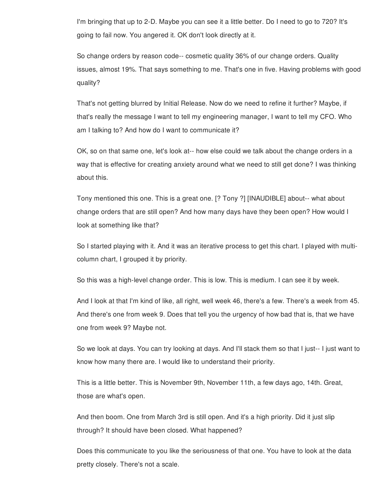I'm bringing that up to 2-D. Maybe you can see it a little better. Do I need to go to 720? It's going to fail now. You angered it. OK don't look directly at it.

So change orders by reason code-- cosmetic quality 36% of our change orders. Quality issues, almost 19%. That says something to me. That's one in five. Having problems with good quality?

That's not getting blurred by Initial Release. Now do we need to refine it further? Maybe, if that's really the message I want to tell my engineering manager, I want to tell my CFO. Who am I talking to? And how do I want to communicate it?

OK, so on that same one, let's look at-- how else could we talk about the change orders in a way that is effective for creating anxiety around what we need to still get done? I was thinking about this.

Tony mentioned this one. This is a great one. [? Tony ?] [INAUDIBLE] about-- what about change orders that are still open? And how many days have they been open? How would I look at something like that?

So I started playing with it. And it was an iterative process to get this chart. I played with multicolumn chart, I grouped it by priority.

So this was a high-level change order. This is low. This is medium. I can see it by week.

And I look at that I'm kind of like, all right, well week 46, there's a few. There's a week from 45. And there's one from week 9. Does that tell you the urgency of how bad that is, that we have one from week 9? Maybe not.

So we look at days. You can try looking at days. And I'll stack them so that I just-- I just want to know how many there are. I would like to understand their priority.

This is a little better. This is November 9th, November 11th, a few days ago, 14th. Great, those are what's open.

And then boom. One from March 3rd is still open. And it's a high priority. Did it just slip through? It should have been closed. What happened?

Does this communicate to you like the seriousness of that one. You have to look at the data pretty closely. There's not a scale.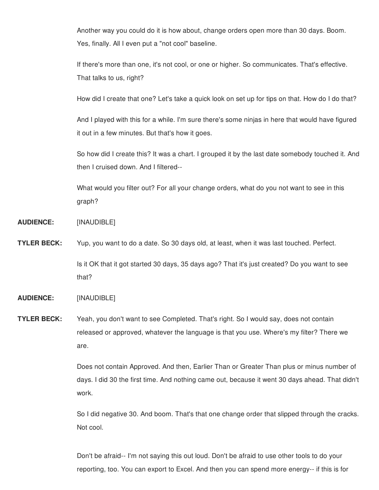Another way you could do it is how about, change orders open more than 30 days. Boom. Yes, finally. All I even put a "not cool" baseline.

If there's more than one, it's not cool, or one or higher. So communicates. That's effective. That talks to us, right?

How did I create that one? Let's take a quick look on set up for tips on that. How do I do that?

And I played with this for a while. I'm sure there's some ninjas in here that would have figured it out in a few minutes. But that's how it goes.

So how did I create this? It was a chart. I grouped it by the last date somebody touched it. And then I cruised down. And I filtered--

What would you filter out? For all your change orders, what do you not want to see in this graph?

- **AUDIENCE:** [INAUDIBLE]
- **TYLER BECK:** Yup, you want to do a date. So 30 days old, at least, when it was last touched. Perfect. Is it OK that it got started 30 days, 35 days ago? That it's just created? Do you want to see that?
- **AUDIENCE:** [INAUDIBLE]
- **TYLER BECK:** Yeah, you don't want to see Completed. That's right. So I would say, does not contain released or approved, whatever the language is that you use. Where's my filter? There we are.

Does not contain Approved. And then, Earlier Than or Greater Than plus or minus number of days. I did 30 the first time. And nothing came out, because it went 30 days ahead. That didn't work.

So I did negative 30. And boom. That's that one change order that slipped through the cracks. Not cool.

Don't be afraid-- I'm not saying this out loud. Don't be afraid to use other tools to do your reporting, too. You can export to Excel. And then you can spend more energy-- if this is for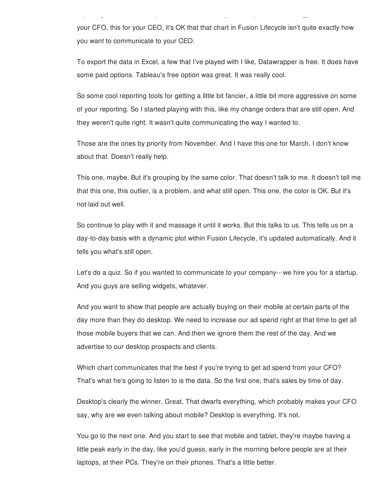your CFO, this for your CEO, it's OK that that chart in Fusion Lifecycle isn't quite exactly how you want to communicate to your CEO.

reporting, too. You can export to Excel. And then you can spend more energy-- if this is for

To export the data in Excel, a few that I've played with I like, Datawrapper is free. It does have some paid options. Tableau's free option was great. It was really cool.

So some cool reporting tools for getting a little bit fancier, a little bit more aggressive on some of your reporting. So I started playing with this, like my change orders that are still open. And they weren't quite right. It wasn't quite communicating the way I wanted to.

Those are the ones by priority from November. And I have this one for March. I don't know about that. Doesn't really help.

This one, maybe. But it's grouping by the same color. That doesn't talk to me. It doesn't tell me that this one, this outlier, is a problem, and what still open. This one, the color is OK. But it's not laid out well.

So continue to play with it and massage it until it works. But this talks to us. This tells us on a day-to-day basis with a dynamic plot within Fusion Lifecycle, it's updated automatically. And it tells you what's still open.

Let's do a quiz. So if you wanted to communicate to your company-- we hire you for a startup. And you guys are selling widgets, whatever.

And you want to show that people are actually buying on their mobile at certain parts of the day more than they do desktop. We need to increase our ad spend right at that time to get all those mobile buyers that we can. And then we ignore them the rest of the day. And we advertise to our desktop prospects and clients.

Which chart communicates that the best if you're trying to get ad spend from your CFO? That's what he's going to listen to is the data. So the first one, that's sales by time of day.

Desktop's clearly the winner. Great. That dwarfs everything, which probably makes your CFO say, why are we even talking about mobile? Desktop is everything. It's not.

You go to the next one. And you start to see that mobile and tablet, they're maybe having a little peak early in the day, like you'd guess, early in the morning before people are at their laptops, at their PCs. They're on their phones. That's a little better.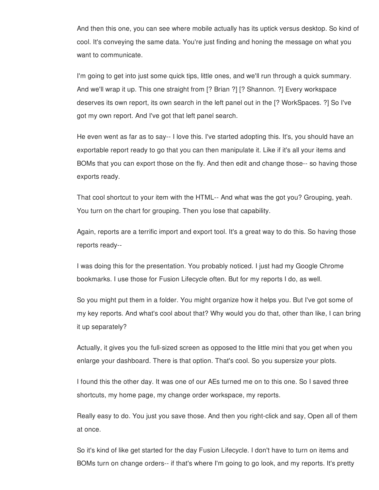And then this one, you can see where mobile actually has its uptick versus desktop. So kind of cool. It's conveying the same data. You're just finding and honing the message on what you want to communicate.

I'm going to get into just some quick tips, little ones, and we'll run through a quick summary. And we'll wrap it up. This one straight from [? Brian ?] [? Shannon. ?] Every workspace deserves its own report, its own search in the left panel out in the [? WorkSpaces. ?] So I've got my own report. And I've got that left panel search.

He even went as far as to say-- I love this. I've started adopting this. It's, you should have an exportable report ready to go that you can then manipulate it. Like if it's all your items and BOMs that you can export those on the fly. And then edit and change those-- so having those exports ready.

That cool shortcut to your item with the HTML-- And what was the got you? Grouping, yeah. You turn on the chart for grouping. Then you lose that capability.

Again, reports are a terrific import and export tool. It's a great way to do this. So having those reports ready--

I was doing this for the presentation. You probably noticed. I just had my Google Chrome bookmarks. I use those for Fusion Lifecycle often. But for my reports I do, as well.

So you might put them in a folder. You might organize how it helps you. But I've got some of my key reports. And what's cool about that? Why would you do that, other than like, I can bring it up separately?

Actually, it gives you the full-sized screen as opposed to the little mini that you get when you enlarge your dashboard. There is that option. That's cool. So you supersize your plots.

I found this the other day. It was one of our AEs turned me on to this one. So I saved three shortcuts, my home page, my change order workspace, my reports.

Really easy to do. You just you save those. And then you right-click and say, Open all of them at once.

So it's kind of like get started for the day Fusion Lifecycle. I don't have to turn on items and BOMs turn on change orders-- if that's where I'm going to go look, and my reports. It's pretty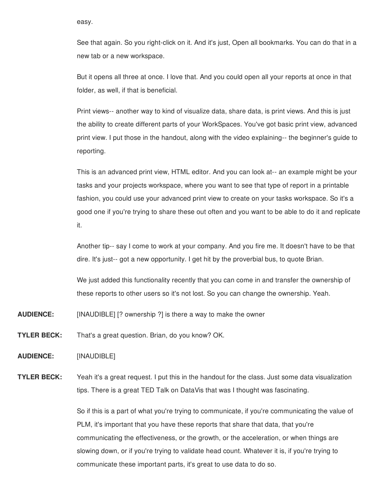easy.

See that again. So you right-click on it. And it's just, Open all bookmarks. You can do that in a new tab or a new workspace.

But it opens all three at once. I love that. And you could open all your reports at once in that folder, as well, if that is beneficial.

Print views-- another way to kind of visualize data, share data, is print views. And this is just the ability to create different parts of your WorkSpaces. You've got basic print view, advanced print view. I put those in the handout, along with the video explaining-- the beginner's guide to reporting.

This is an advanced print view, HTML editor. And you can look at-- an example might be your tasks and your projects workspace, where you want to see that type of report in a printable fashion, you could use your advanced print view to create on your tasks workspace. So it's a good one if you're trying to share these out often and you want to be able to do it and replicate it.

Another tip-- say I come to work at your company. And you fire me. It doesn't have to be that dire. It's just-- got a new opportunity. I get hit by the proverbial bus, to quote Brian.

We just added this functionality recently that you can come in and transfer the ownership of these reports to other users so it's not lost. So you can change the ownership. Yeah.

**AUDIENCE:** [INAUDIBLE] [? ownership ?] is there a way to make the owner

**TYLER BECK:** That's a great question. Brian, do you know? OK.

**AUDIENCE:** [INAUDIBLE]

**TYLER BECK:** Yeah it's a great request. I put this in the handout for the class. Just some data visualization tips. There is a great TED Talk on DataVis that was I thought was fascinating.

> So if this is a part of what you're trying to communicate, if you're communicating the value of PLM, it's important that you have these reports that share that data, that you're communicating the effectiveness, or the growth, or the acceleration, or when things are slowing down, or if you're trying to validate head count. Whatever it is, if you're trying to communicate these important parts, it's great to use data to do so.